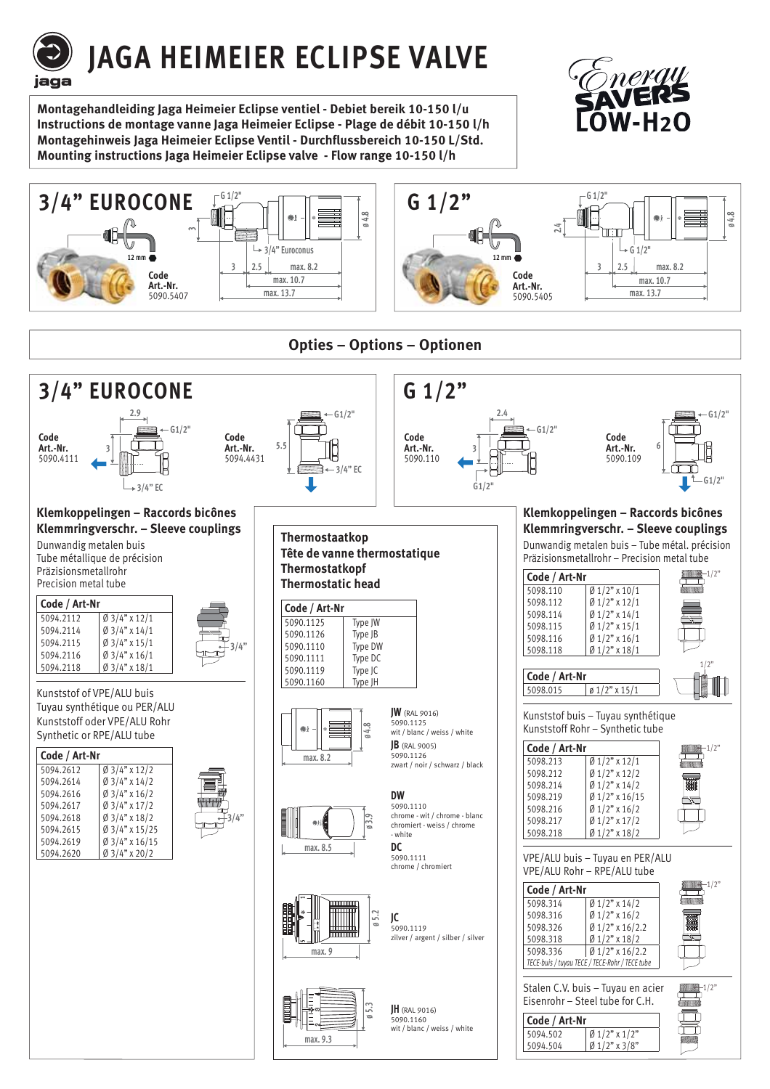# **JAGA HEIMEIER ECLIPSE VALVE**

**Montagehandleiding Jaga Heimeier Eclipse ventiel - Debiet bereik 10-150 l/u Instructions de montage vanne Jaga Heimeier Eclipse - Plage de débit 10-150 l/h Montagehinweis Jaga Heimeier Eclipse Ventil - Durchflussbereich 10-150 L/Std. Mounting instructions Jaga Heimeier Eclipse valve - Flow range 10-150 l/h**

iaga